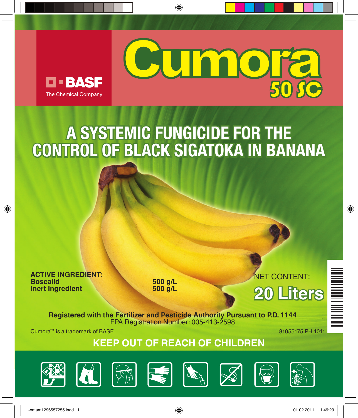



## **A SYSTEMIC FUNGICIDE FOR THE CONTROL OF BLACK SIGATOKA IN BANANA**

◈

**ACTIVE INGREDIENT: Inert Ingredient** 

⊕

**Boscalid 500 g/L**

NET CONTENT: **20 Liters**

**Registered with the Fertilizer and Pesticide Authority Pursuant to P.D. 1144** FPA Registration Number: 005-413-2598

 $C$ umora<sup> $M$ </sup> is a trademark of BASF  $\sim$  81055175 PH 1011

 $\bigoplus$ 

**KEEP OUT OF REACH OF CHILDren**